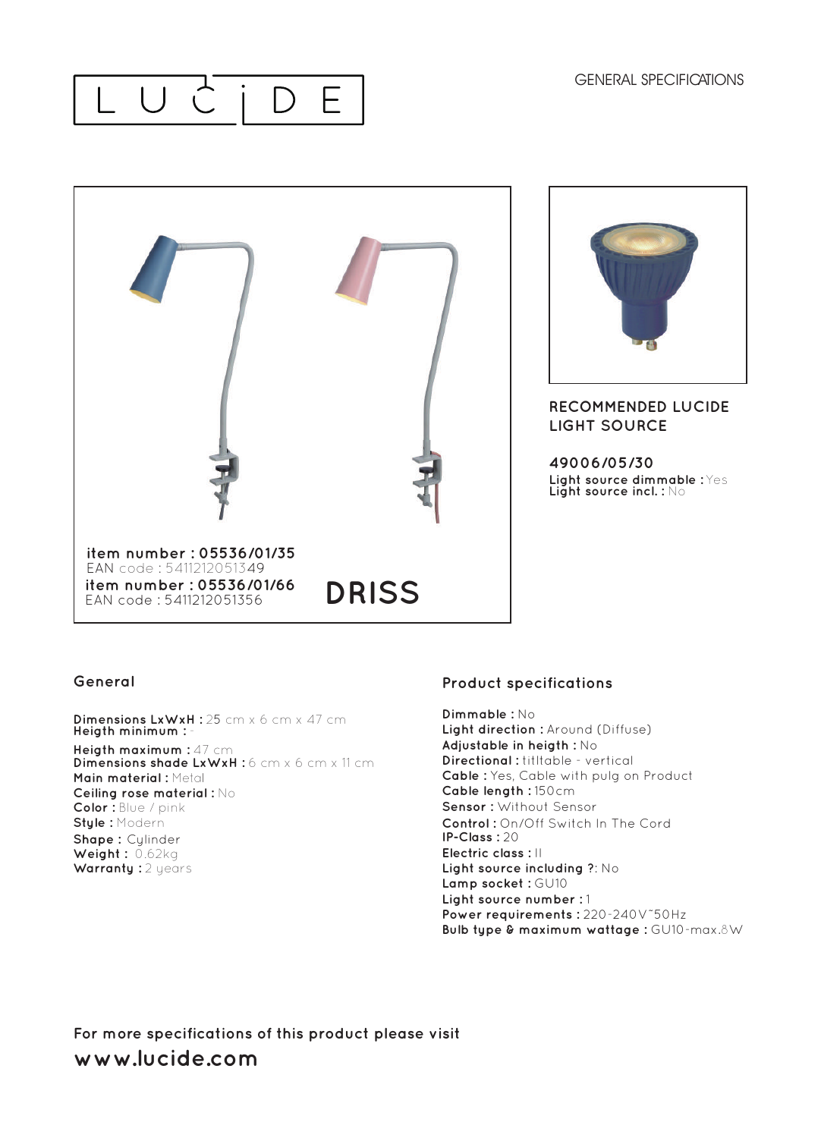### LUCID E





#### **RECOMMENDED LUCIDE LIGHT SOURCE**

**49006/05/30 Light source dimmable :** Yes **Light source incl. :** No

#### **General**

**Dimensions LxWxH :** 25 cm x 6 cm x 47 cm **Heigth minimum :** -

**Heigth maximum :** 47 cm **Dimensions shade LxWxH :** 6 cm x 6 cm x 11 cm **Main material :** Metal **Ceiling rose material :** No **Color :** Blue / pink **Style :** Modern

**Shape :** Cylinder **Weight :** 0.62kg **Warranty: 2 years** 

#### **Product specifications**

**Dimmable :** No **Light direction :** Around (Diffuse) **Adjustable in heigth :** No **Directional :** titltable - vertical **Cable :** Yes, Cable with pulg on Product **Cable length :** 150cm **Sensor :** Without Sensor **Control :** On/Off Switch In The Cord **IP-Class :** 20 **Electric class :** II **Light source including ?**: No **Lamp socket :** GU10 **Light source number :** 1 **Power requirements :** 220-240V˜50Hz **Bulb type & maximum wattage :** GU10-max.8W

**For more specifications of this product please visit www.lucide.com**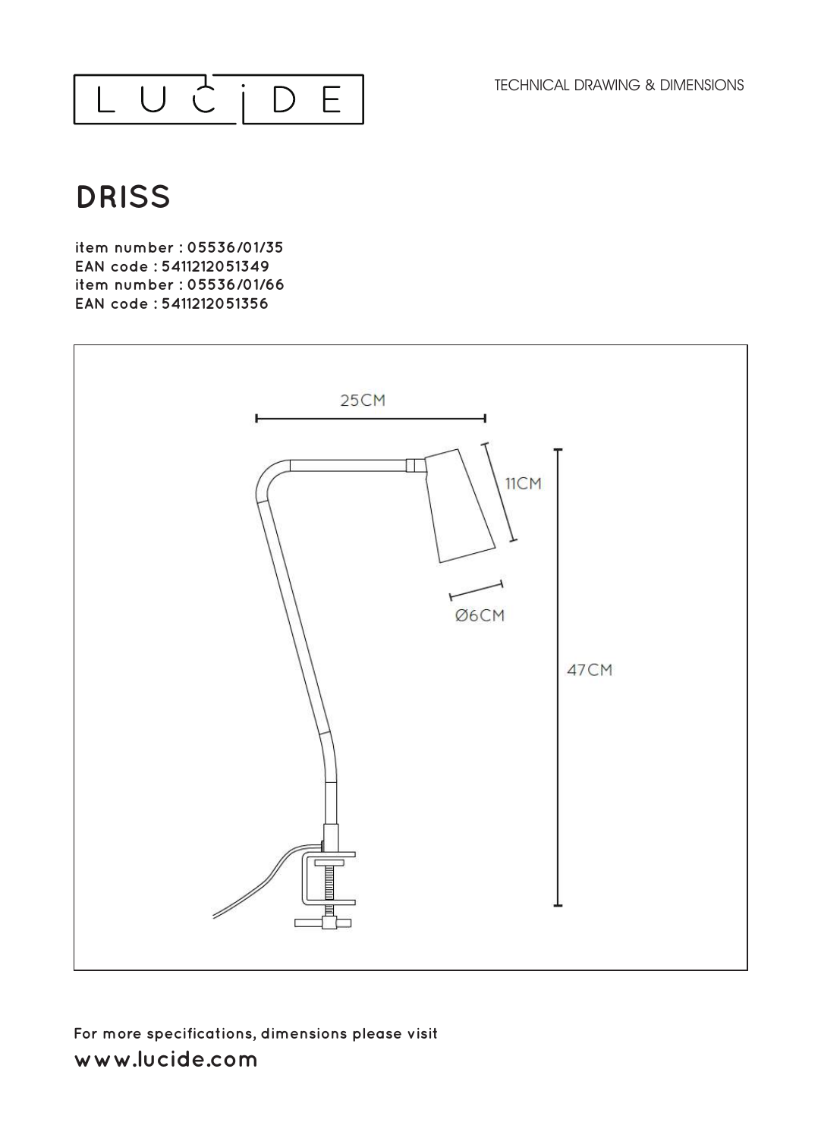TECHNICAL DRAWING & DIMENSIONS



# **DRISS**

**item number : 05536/01/35 EAN code : 5411212051349 item number : 05536/01/66**  EAN code: 5411212051356



## **For more specifications, dimensions please visit**  www.lucide.com